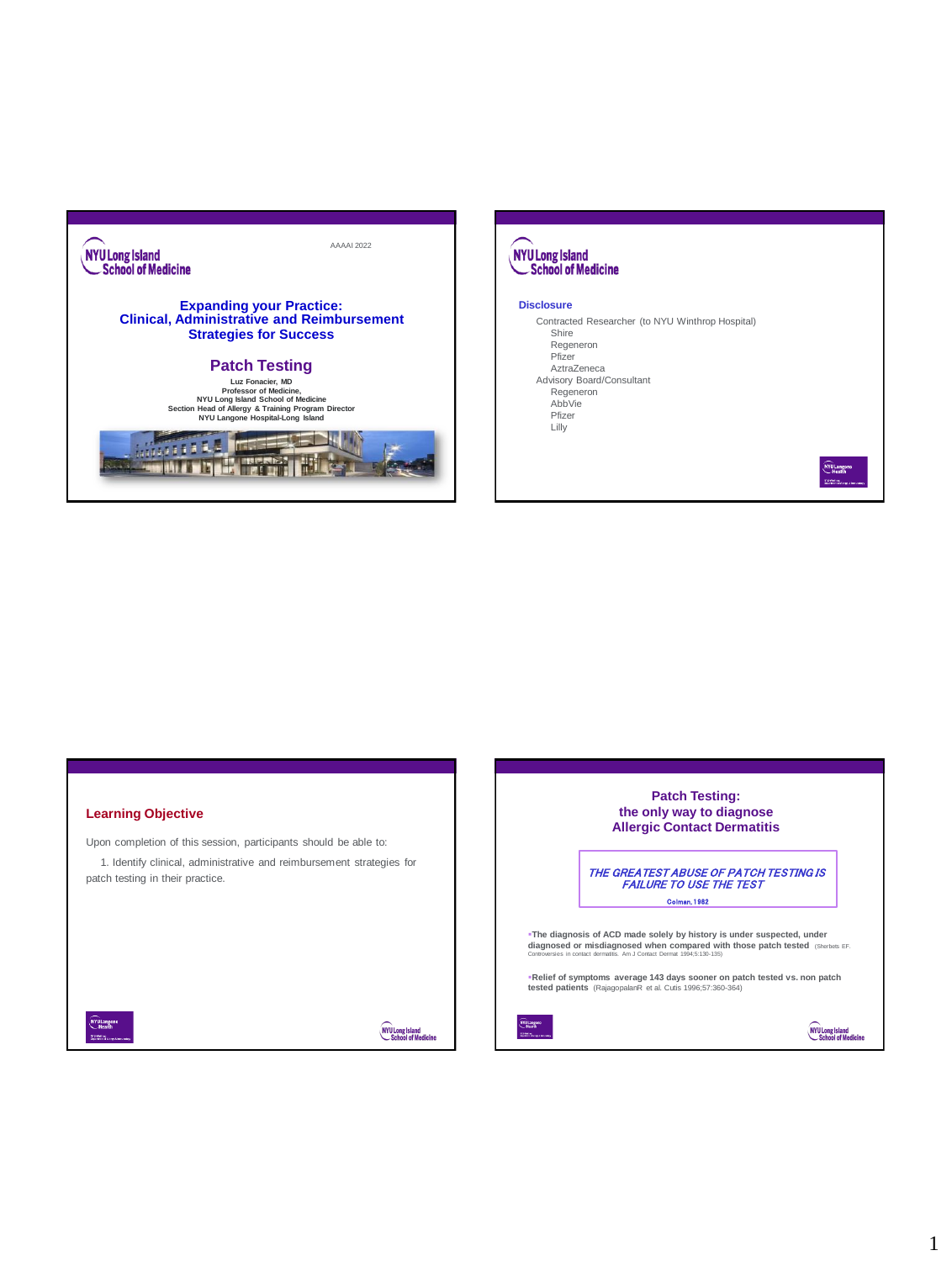



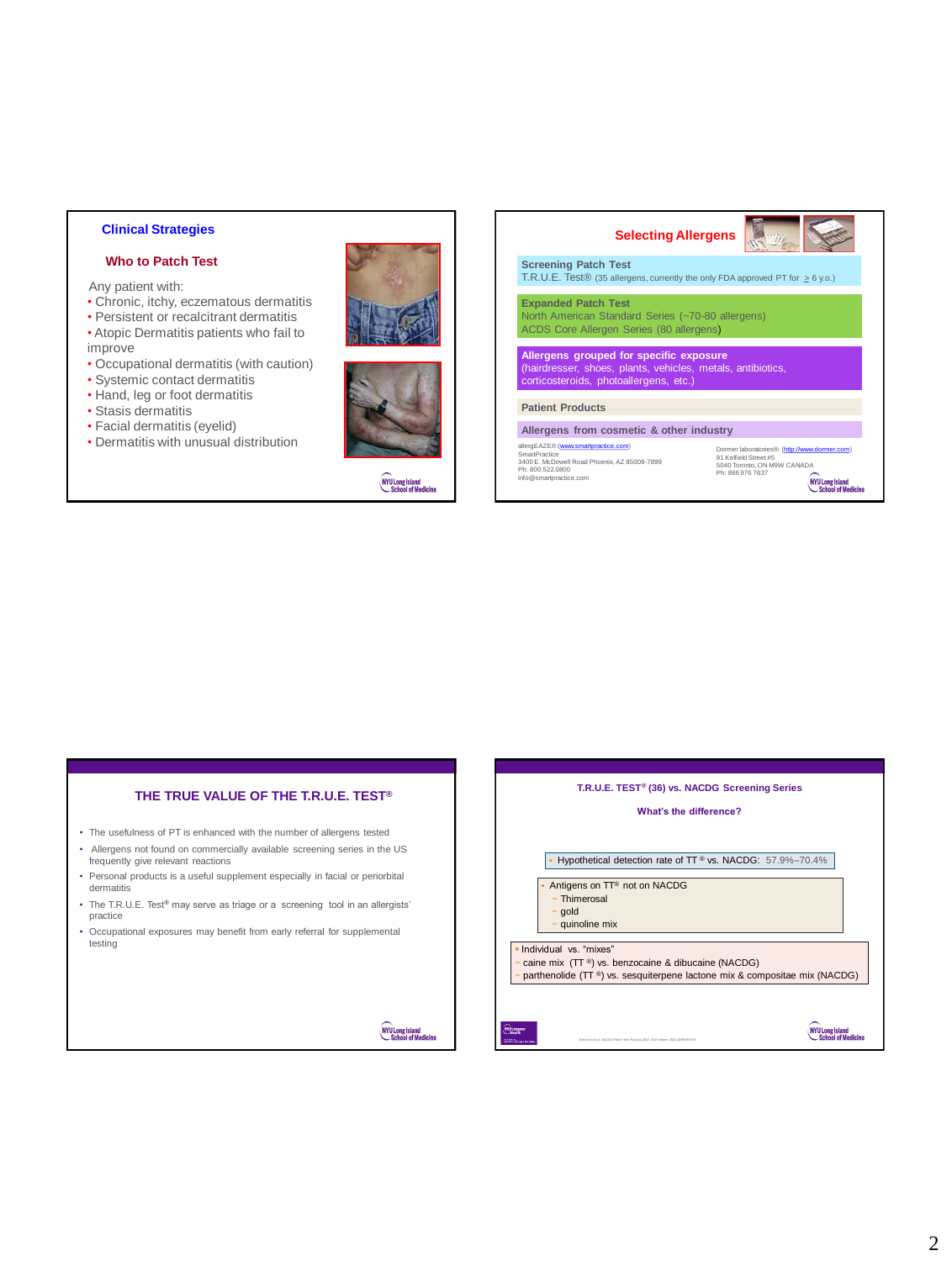# **Who to Patch Test**

Any patient with:

- Chronic, itchy, eczematous dermatitis
- Persistent or recalcitrant dermatitis
- Atopic Dermatitis patients who fail to
- improve • Occupational dermatitis (with caution)
- Systemic contact dermatitis
- Hand, leg or foot dermatitis
- Stasis dermatitis
- Facial dermatitis (eyelid)
- Dermatitis with unusual distribution





**NYU Long Island<br>School of Medi** 

**NYU Long Island<br>School of Medicine** 



## **THE TRUE VALUE OF THE T.R.U.E. TEST®**

- The usefulness of PT is enhanced with the number of allergens tested
- Allergens not found on commercially available screening series in the US frequently give relevant reactions
- Personal products is a useful supplement especially in facial or periorbital dermatitis
- The T.R.U.E. Test**®** may serve as triage or a screening tool in an allergists' practice
- Occupational exposures may benefit from early referral for supplemental testing



**NYU Long Island<br>School of Medicine**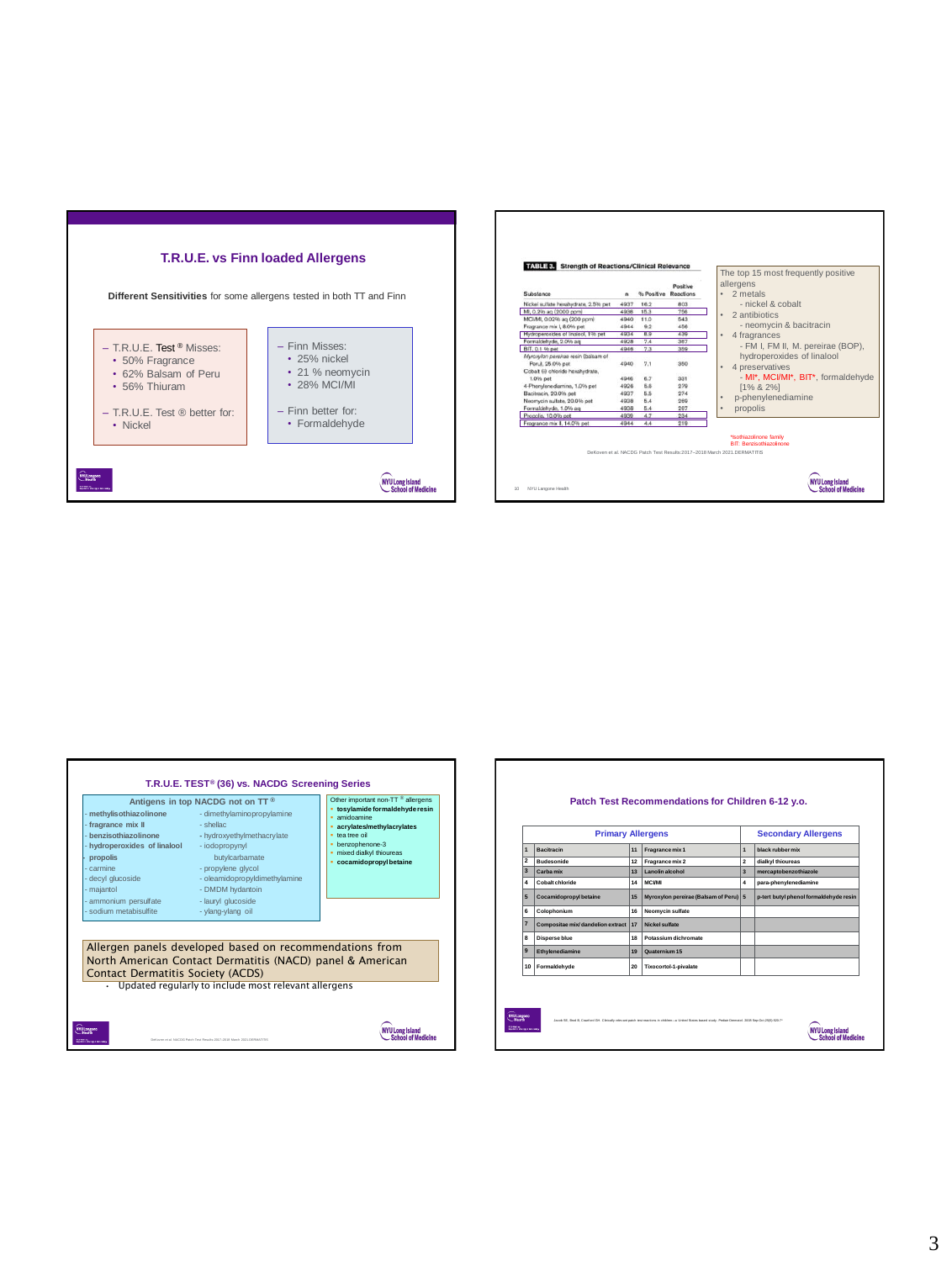



| - methylisothiazolinone<br>- fragrance mix II<br>benzisothiazolinone<br>hydroperoxides of linalool<br>propolis<br>carmine<br>- decyl glucoside<br>- maiantol<br>- ammonium persulfate | Antigens in top NACDG not on TT®<br>- dimethylaminopropylamine<br>- shellac<br>- hydroxyethylmethacrylate<br>- iodopropynyl<br>butylcarbamate<br>- propylene glycol<br>- oleamidopropyldimethylamine<br>- DMDM hvdantoin<br>- lauryl glucoside<br>- ylang-ylang oil | Other important non-TT <sup>®</sup> allergens<br>· tosylamide formaldehyde resin<br>· amidoamine<br>• acrylates/methylacrylates<br>tea tree oil<br>• benzophenone-3<br>· mixed dialkyl thioureas<br>• cocamidopropyl betaine |
|---------------------------------------------------------------------------------------------------------------------------------------------------------------------------------------|---------------------------------------------------------------------------------------------------------------------------------------------------------------------------------------------------------------------------------------------------------------------|------------------------------------------------------------------------------------------------------------------------------------------------------------------------------------------------------------------------------|
| - sodium metabisulfite                                                                                                                                                                | Allergen panels developed based on recommendations from<br>North American Contact Dermatitis (NACD) panel & American                                                                                                                                                |                                                                                                                                                                                                                              |
| <b>Contact Dermatitis Society (ACDS)</b><br>$\cdot$                                                                                                                                   | Updated regularly to include most relevant allergens                                                                                                                                                                                                                |                                                                                                                                                                                                                              |

|                                                 | <b>Primary Allergens</b>             |                 |                                                                                                                                                             |                | <b>Secondary Allergens</b>                             |
|-------------------------------------------------|--------------------------------------|-----------------|-------------------------------------------------------------------------------------------------------------------------------------------------------------|----------------|--------------------------------------------------------|
| $\overline{1}$                                  | <b>Bacitracin</b>                    | 11              | Fragrance mix 1                                                                                                                                             | $\blacksquare$ | black rubber mix                                       |
| $\overline{\mathbf{2}}$                         | <b>Budesonide</b>                    | 12              | Fragrance mix 2                                                                                                                                             | $\overline{2}$ | dialkyl thioureas                                      |
| $\mathbf{3}$                                    | Carba mix                            | 13 <sub>1</sub> | Lanolin alcohol                                                                                                                                             | $\mathbf{R}$   | mercaptobenzothiazole                                  |
| 4                                               | Cobalt chloride                      | 14              | <b>MCVMI</b>                                                                                                                                                | 4              | para-phenylenediamine                                  |
| 5                                               | <b>Cocamidopropyl betaine</b>        | 15              | Myroxylon pereirae (Balsam of Peru) 5                                                                                                                       |                | p-tert butyl phenol formaldehyde resin                 |
| 6                                               | Colophonium                          | 16              | Neomycin sulfate                                                                                                                                            |                |                                                        |
| $\overline{7}$                                  | Compositae mix/ dandelion extract 17 |                 | Nickel sulfate                                                                                                                                              |                |                                                        |
| 8                                               | <b>Disperse blue</b>                 | 18              | Potassium dichromate                                                                                                                                        |                |                                                        |
| $\mathbf{a}$                                    | Ethylenediamine                      | 19              | Quaternium 15                                                                                                                                               |                |                                                        |
|                                                 | 10 Formaldehyde                      | 20              | Tixocortol-1-pivalate                                                                                                                                       |                |                                                        |
| <b>NYULangona</b><br><b>START Service And A</b> |                                      |                 | Jacob SE, Brod B, Crawford GH. Clinically relevant patch test reactions in children-a United States based study. Pediatr Demanol. 2008 Sep-Oct;25(5) 520-7" |                | <b>NYU Long Island<br/>Consider School of Medicine</b> |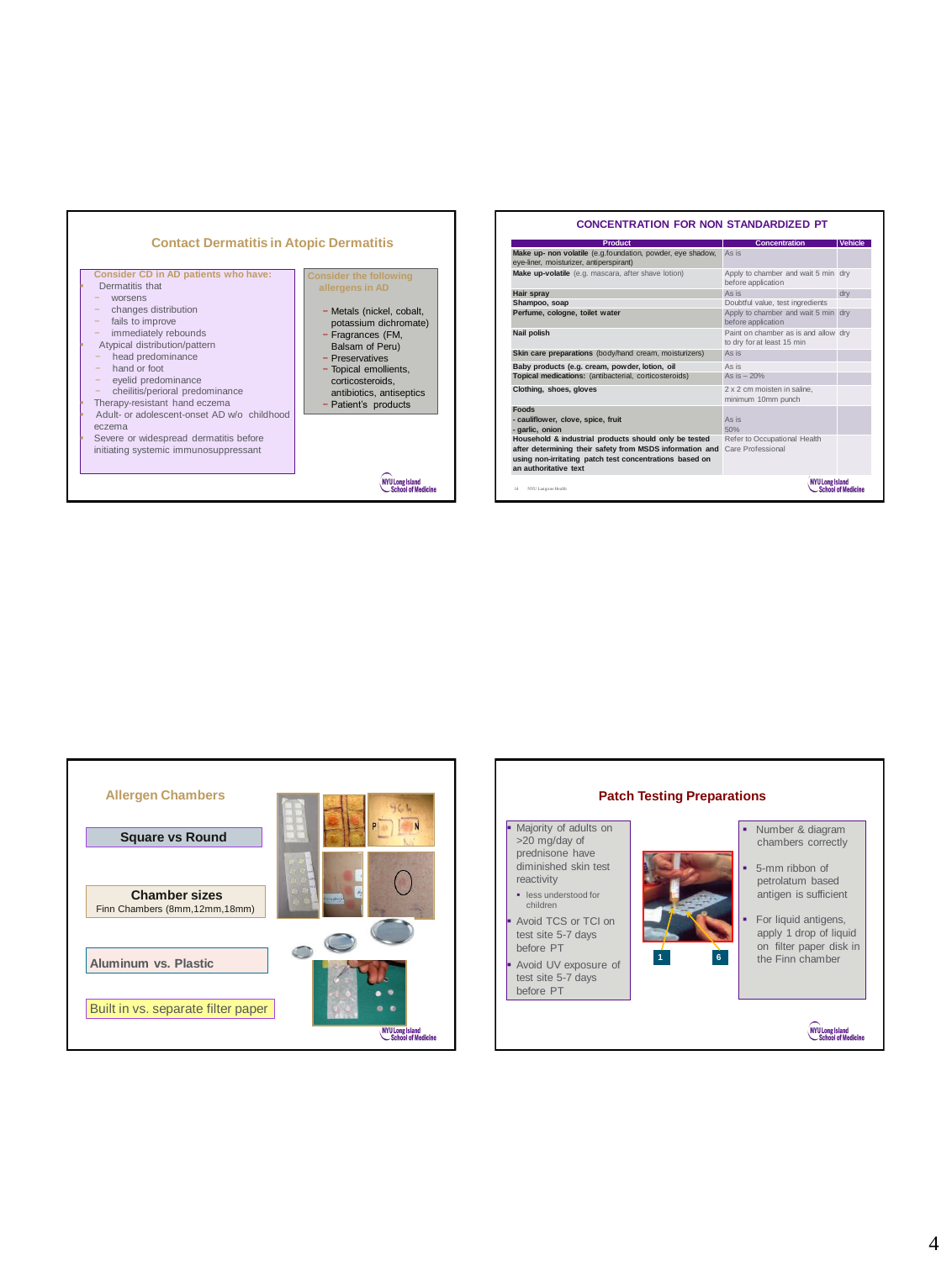

### **CONCENTRATION FOR NON STANDARDIZED PT**

| <b>Product</b>                                                                                                                                                                                                          | <b>Concentration</b>                                               | Vehicle |  |
|-------------------------------------------------------------------------------------------------------------------------------------------------------------------------------------------------------------------------|--------------------------------------------------------------------|---------|--|
| Make up- non volatile (e.g.foundation, powder, eye shadow,<br>eye-liner, moisturizer, antiperspirant)                                                                                                                   | As is                                                              |         |  |
| Make up-volatile (e.g. mascara, after shave lotion)                                                                                                                                                                     | Apply to chamber and wait 5 min dry<br>before application          |         |  |
| Hair spray                                                                                                                                                                                                              | As is                                                              | drv     |  |
| Shampoo, soap                                                                                                                                                                                                           | Doubtful value, test ingredients                                   |         |  |
| Perfume, cologne, toilet water                                                                                                                                                                                          | Apply to chamber and wait 5 min dry<br>before application          |         |  |
| Nail polish                                                                                                                                                                                                             | Paint on chamber as is and allow dry<br>to dry for at least 15 min |         |  |
| Skin care preparations (body/hand cream, moisturizers)                                                                                                                                                                  | As is                                                              |         |  |
| Baby products (e.g. cream, powder, lotion, oil                                                                                                                                                                          | As is                                                              |         |  |
| Topical medications: (antibacterial, corticosteroids)                                                                                                                                                                   | As is $-20%$                                                       |         |  |
| Clothing, shoes, gloves                                                                                                                                                                                                 | 2 x 2 cm moisten in saline.<br>minimum 10mm punch                  |         |  |
| <b>Ennds</b><br>- cauliflower, clove, spice, fruit<br>- garlic, onion                                                                                                                                                   | As is<br>50%                                                       |         |  |
| Household & industrial products should only be tested<br>after determining their safety from MSDS information and Care Professional<br>using non-irritating patch test concentrations based on<br>an authoritative text | Refer to Occupational Health                                       |         |  |
| NYU Langone Health<br>14                                                                                                                                                                                                | <b>NYU Long Island</b><br><b>School of Medicine</b>                |         |  |



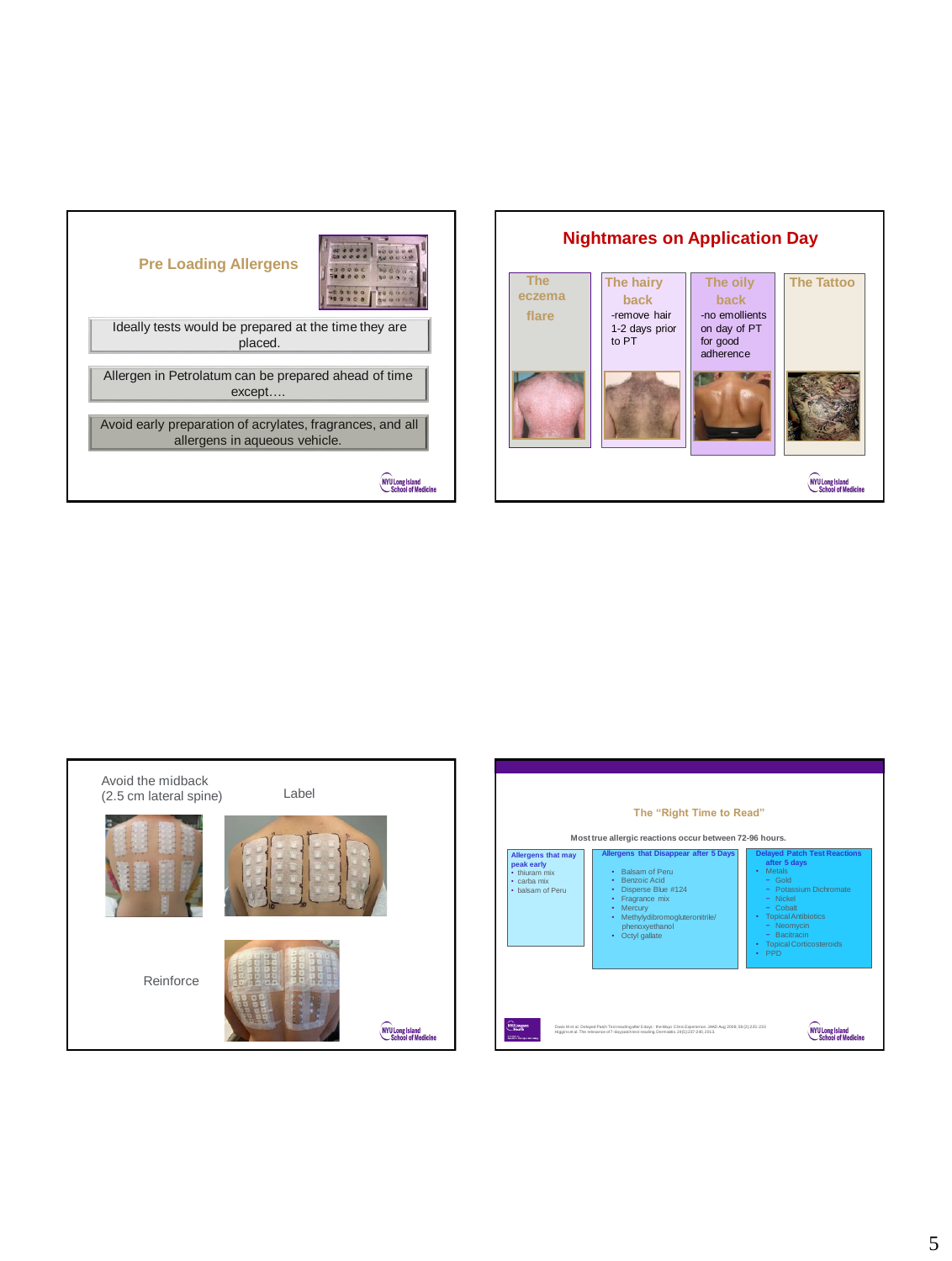





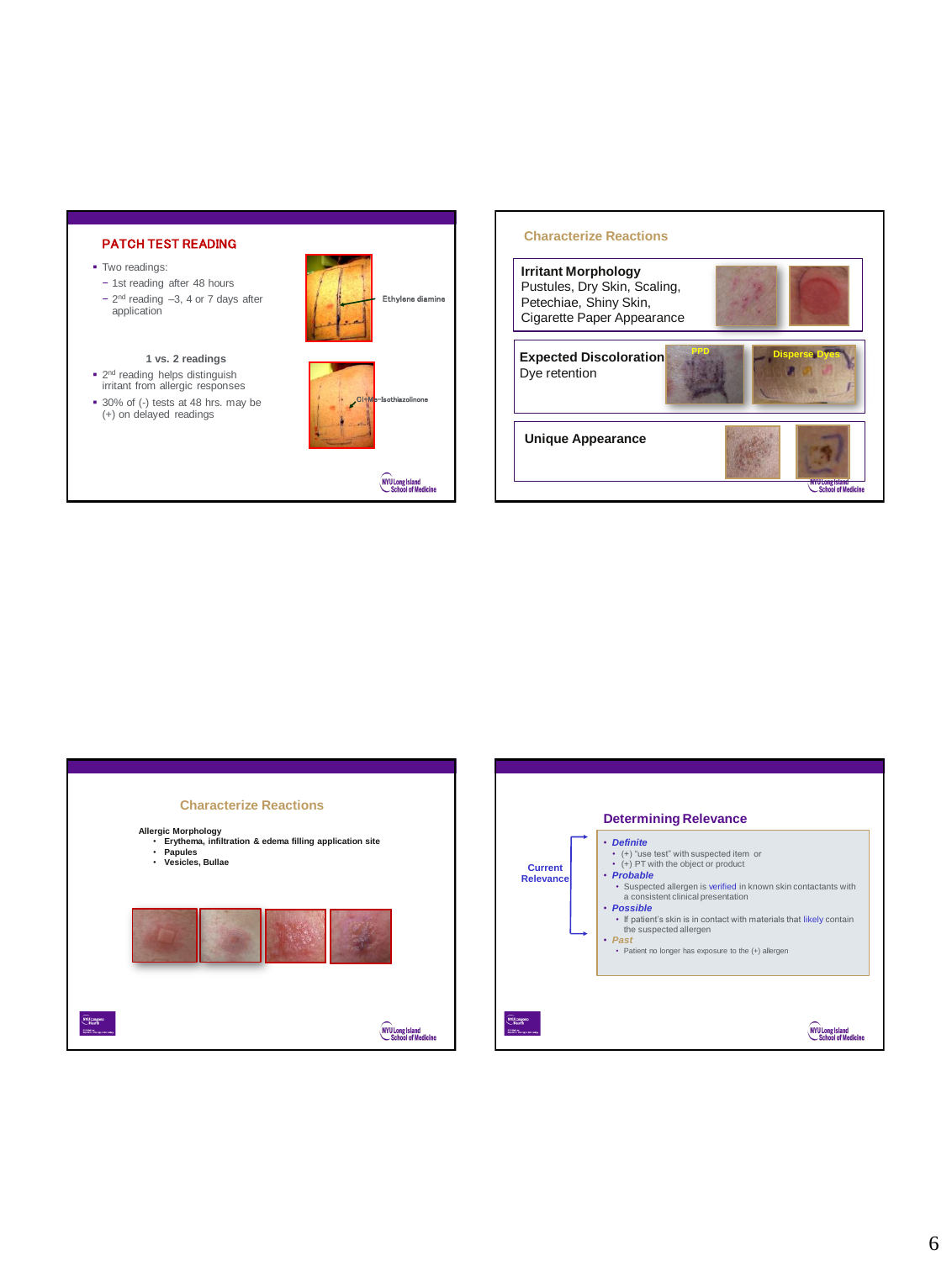# PATCH TEST READING

- **Two readings:** 
	- − 1st reading after 48 hours − 2 nd reading –3, 4 or 7 days after application

# **1 vs. 2 readings**

- **2<sup>nd</sup>** reading helps distinguish<br>irritant from allergic responses
- 30% of (-) tests at 48 hrs. may be (+) on delayed readings







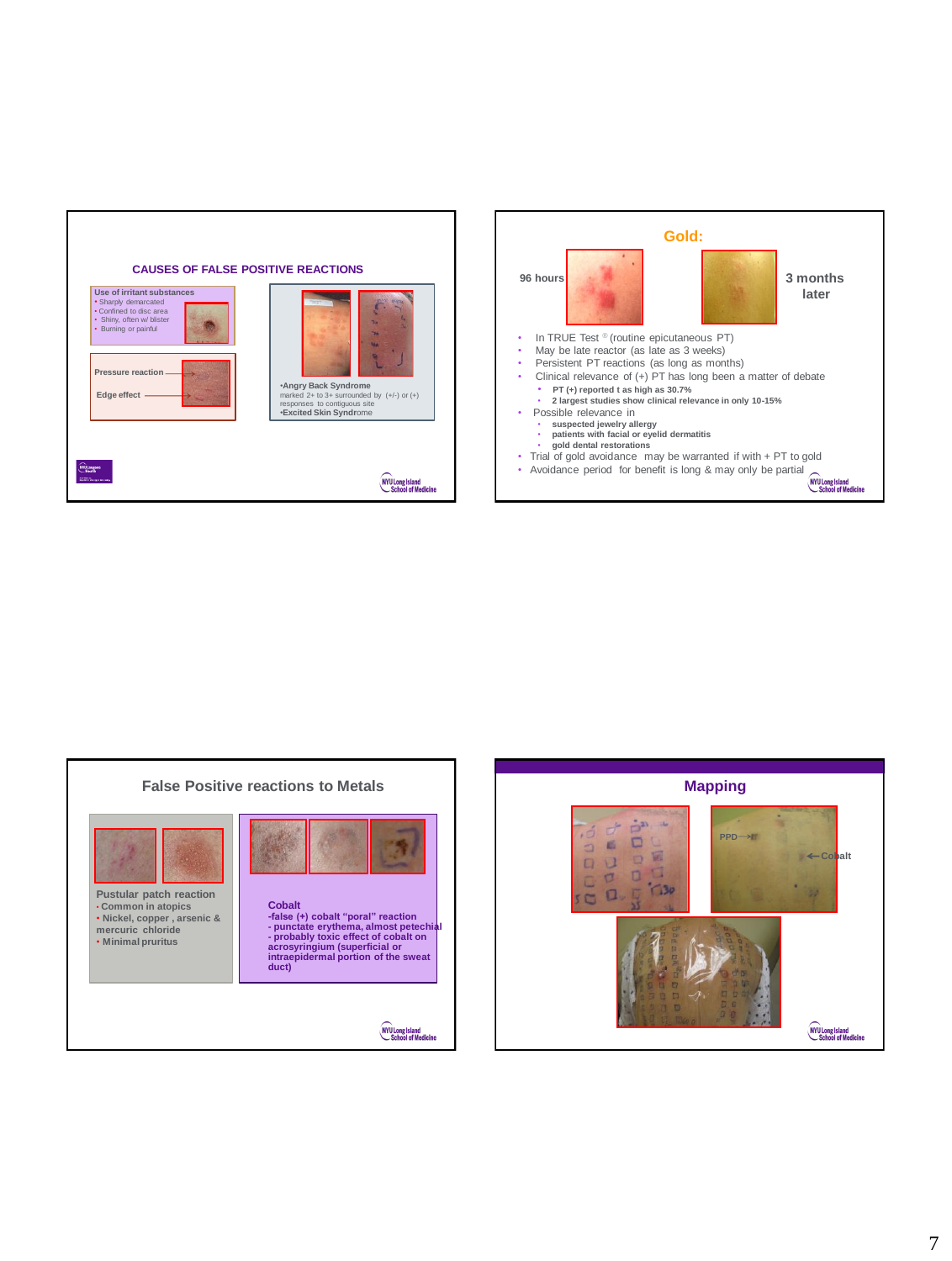





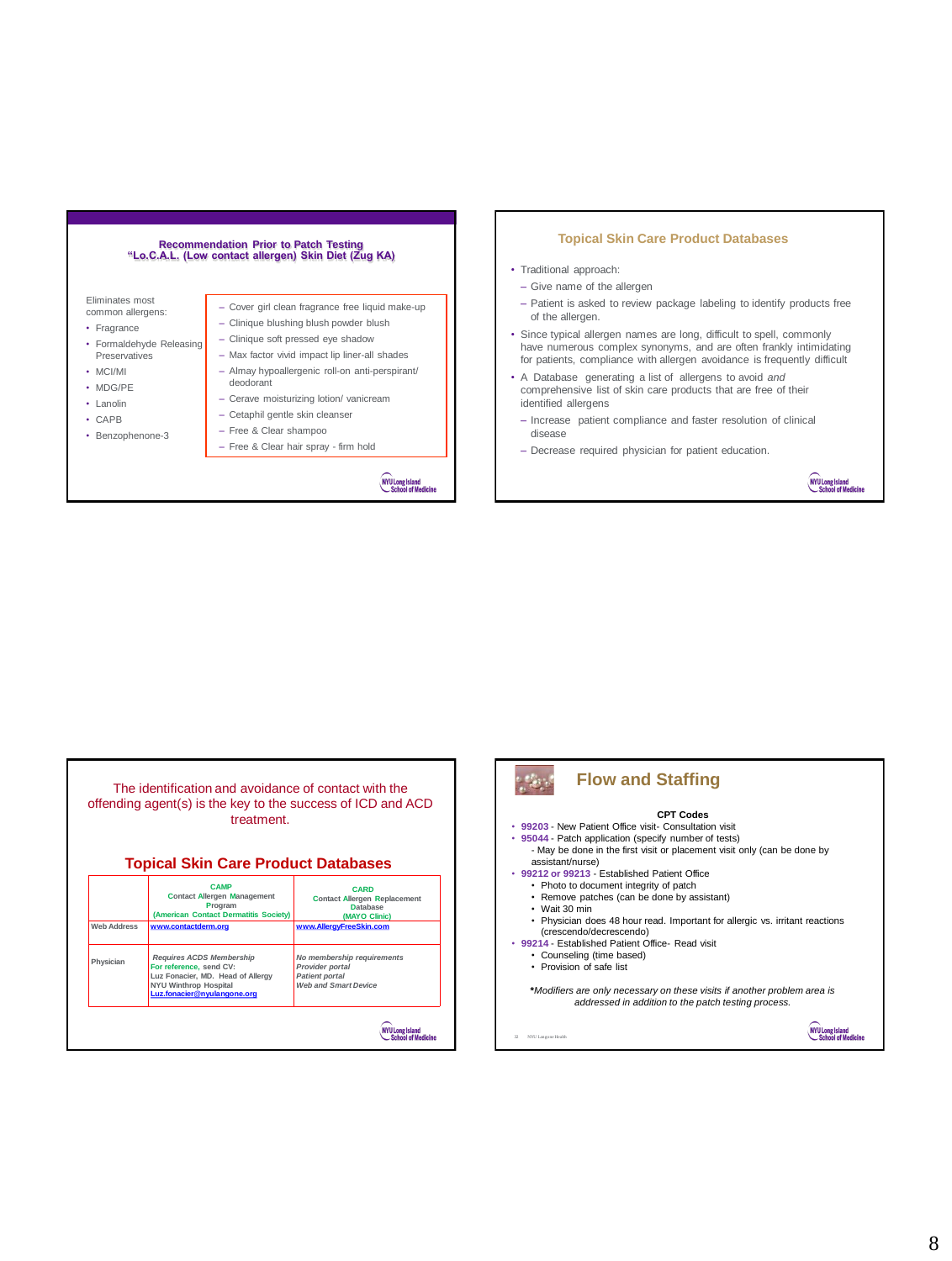

Eliminates most common allergens:

- Fragrance
- Formaldehyde Releasing **Preservatives**
- MCI/MI
- MDG/PE
- Lanolin
- CAPB
- 
- Benzophenone-3
- Clinique soft pressed eye shadow – Max factor vivid impact lip liner-all shades – Almay hypoallergenic roll-on anti-perspirant/

– Cover girl clean fragrance free liquid make-up – Clinique blushing blush powder blush

- deodorant – Cerave moisturizing lotion/ vanicream
- Cetaphil gentle skin cleanser
- Free & Clear shampoo
- Free & Clear hair spray firm hold

**NYU Long Island<br>CSchool of Medici** 

## **Topical Skin Care Product Databases**

- Traditional approach:
- Give name of the allergen
- Patient is asked to review package labeling to identify products free of the allergen.
- Since typical allergen names are long, difficult to spell, commonly have numerous complex synonyms, and are often frankly intimidating for patients, compliance with allergen avoidance is frequently difficult

**NYU Long Island<br>CSchool of Medic** 

- A Database generating a list of allergens to avoid *and* comprehensive list of skin care products that are free of their identified allergens
- Increase patient compliance and faster resolution of clinical disease
- Decrease required physician for patient education.

offending agent(s) is the key to the success of ICD and ACD treatment. **Topical Skin Care Product Databases CAMP CARD Contact Allergen Management Contact Allergen Replacement Database Program (American Contact Dermatitis Society) (MAYO Clinic)** Web Address **[www.contactderm.org](http://www.google.com/url?sa=i&rct=j&q=&esrc=s&frm=1&source=images&cd=&cad=rja&docid=2cXV-hogJ2gwdM&tbnid=dug1Iq9sDX3g2M:&ved=0CAUQjRw&url=http://www.amazon.ca/Contact-Occupational-Dermatology-James-Marks/dp/0323014739&ei=_I5MUtPLMZTeyQGN7YCwBA&bvm=bv.53371865,d.aWc&psig=AFQjCNHXGw4i6WwBVmFUR7gI-ekJEJDyGA&ust=1380835451614939)** [www.AllergyFreeSkin.com](http://www.contactderm.org/) **Physician** *Requires ACDS Membership No membership requirements* **For reference, send CV: Luz Fonacier, MD. Head of Allergy**  *Provider portal Patient portal Web and Smart Device* **NYU Winthrop Hospital [Luz.fonacier@nyulangone.org](mailto:Luz.fonacier@nyulangone.org) NYU Long Island<br>CSchool of Medici** 

The identification and avoidance of contact with the

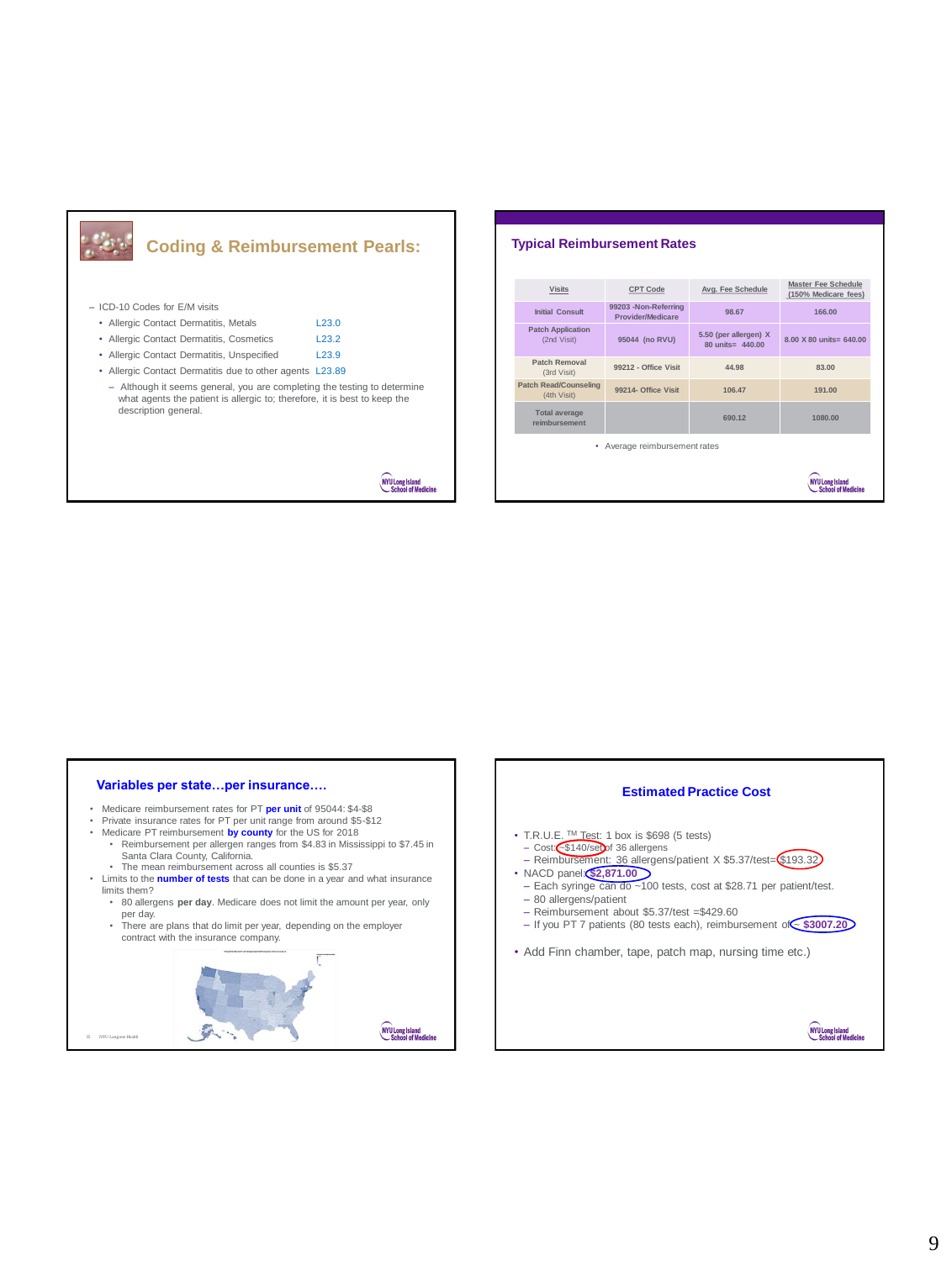

**WVU Long Island<br>School of Medici** 

## **Typical Reimbursement Rates**



# **Variables per state…per insurance….**

- Medicare reimbursement rates for PT **per unit** of 95044: \$4-\$8 Private insurance rates for PT per unit range from around \$5-\$12
- 
- Medicare PT reimbursement **by county** for the US for 2018
	- Reimbursement per allergen ranges from \$4.83 in Mississippi to \$7.45 in Santa Clara County, California. • The mean reimbursement across all counties is \$5.37
- Limits to the **number of tests** that can be done in a year and what insurance
	- limits them? • 80 allergens **per day**. Medicare does not limit the amount per year, only
	- per day. There are plans that do limit per year, depending on the employer
	- contract with the insurance company.